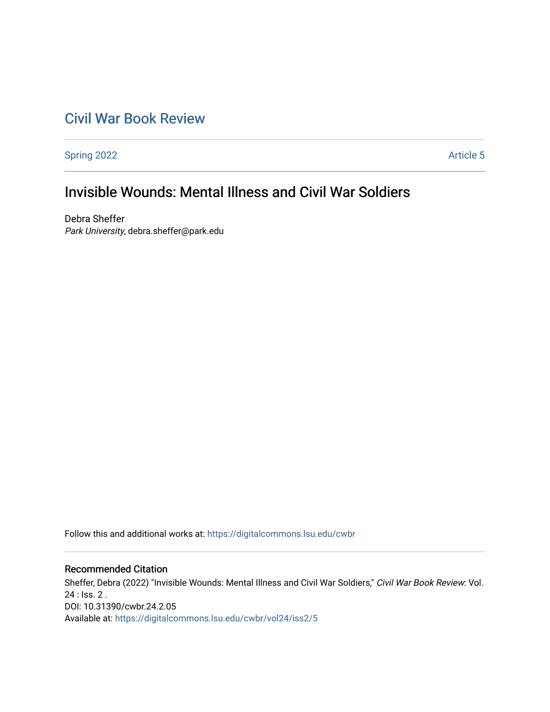# [Civil War Book Review](https://digitalcommons.lsu.edu/cwbr)

[Spring 2022](https://digitalcommons.lsu.edu/cwbr/vol24/iss2) **Article 5** 

# Invisible Wounds: Mental Illness and Civil War Soldiers

Debra Sheffer Park University, debra.sheffer@park.edu

Follow this and additional works at: [https://digitalcommons.lsu.edu/cwbr](https://digitalcommons.lsu.edu/cwbr?utm_source=digitalcommons.lsu.edu%2Fcwbr%2Fvol24%2Fiss2%2F5&utm_medium=PDF&utm_campaign=PDFCoverPages) 

#### Recommended Citation

Sheffer, Debra (2022) "Invisible Wounds: Mental Illness and Civil War Soldiers," Civil War Book Review: Vol. 24 : Iss. 2 . DOI: 10.31390/cwbr.24.2.05 Available at: [https://digitalcommons.lsu.edu/cwbr/vol24/iss2/5](https://digitalcommons.lsu.edu/cwbr/vol24/iss2/5?utm_source=digitalcommons.lsu.edu%2Fcwbr%2Fvol24%2Fiss2%2F5&utm_medium=PDF&utm_campaign=PDFCoverPages)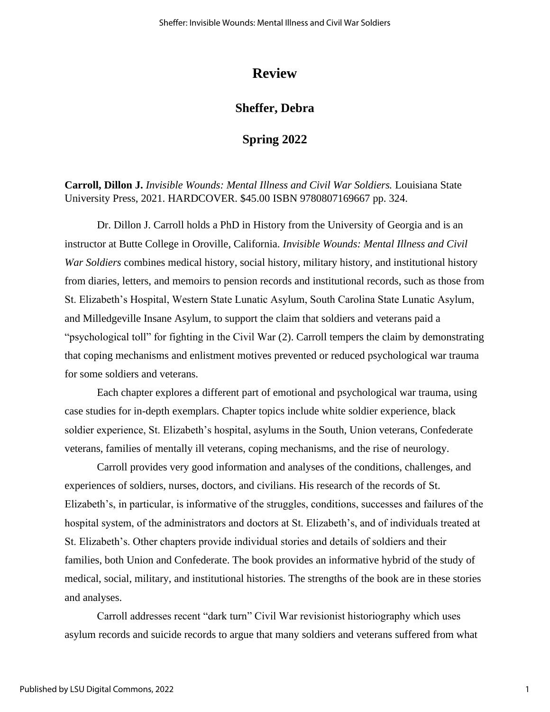## **Review**

## **Sheffer, Debra**

### **Spring 2022**

**Carroll, Dillon J.** *Invisible Wounds: Mental Illness and Civil War Soldiers.* Louisiana State University Press, 2021. HARDCOVER. \$45.00 ISBN 9780807169667 pp. 324.

Dr. Dillon J. Carroll holds a PhD in History from the University of Georgia and is an instructor at Butte College in Oroville, California. *Invisible Wounds: Mental Illness and Civil War Soldiers* combines medical history, social history, military history, and institutional history from diaries, letters, and memoirs to pension records and institutional records, such as those from St. Elizabeth's Hospital, Western State Lunatic Asylum, South Carolina State Lunatic Asylum, and Milledgeville Insane Asylum, to support the claim that soldiers and veterans paid a "psychological toll" for fighting in the Civil War (2). Carroll tempers the claim by demonstrating that coping mechanisms and enlistment motives prevented or reduced psychological war trauma for some soldiers and veterans.

Each chapter explores a different part of emotional and psychological war trauma, using case studies for in-depth exemplars. Chapter topics include white soldier experience, black soldier experience, St. Elizabeth's hospital, asylums in the South, Union veterans, Confederate veterans, families of mentally ill veterans, coping mechanisms, and the rise of neurology.

Carroll provides very good information and analyses of the conditions, challenges, and experiences of soldiers, nurses, doctors, and civilians. His research of the records of St. Elizabeth's, in particular, is informative of the struggles, conditions, successes and failures of the hospital system, of the administrators and doctors at St. Elizabeth's, and of individuals treated at St. Elizabeth's. Other chapters provide individual stories and details of soldiers and their families, both Union and Confederate. The book provides an informative hybrid of the study of medical, social, military, and institutional histories. The strengths of the book are in these stories and analyses.

Carroll addresses recent "dark turn" Civil War revisionist historiography which uses asylum records and suicide records to argue that many soldiers and veterans suffered from what